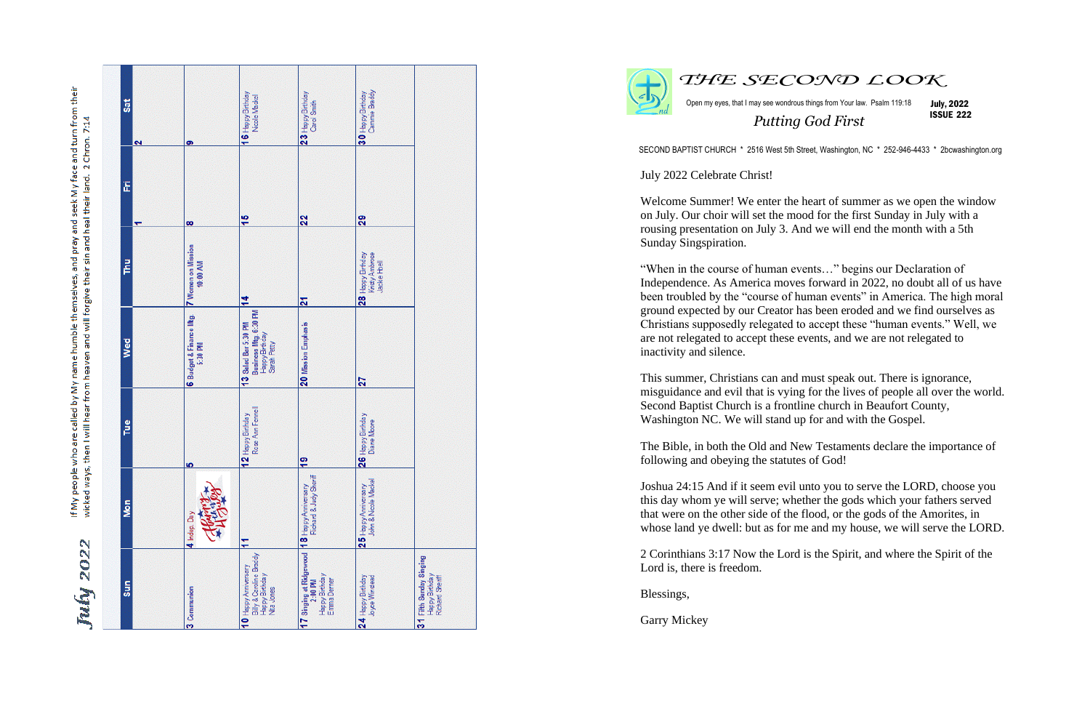July 2022

My face and turn from their<br>r land. 2 Chron. 7:14 their land. seek  $\overline{\overline{\overline{g}}}$ neal<br>Tan sin and pray and their le themselves, will forgive name humb land eaven people who are called by My from hear then I will ways, If My pe<br>wicked

| <b>Sat</b><br>$\overline{\mathbf{c}}$ | ၜ                                        | 16 Happy Birthday<br>Noole Mackel                                                            | $23$ Happy Birthday<br>Carol Smith                                                      | Cammie Braddy<br>30 Happy Birthday                   |                                                              |
|---------------------------------------|------------------------------------------|----------------------------------------------------------------------------------------------|-----------------------------------------------------------------------------------------|------------------------------------------------------|--------------------------------------------------------------|
| E<br>↽                                | $\infty$                                 | 15                                                                                           | 22                                                                                      | 29                                                   |                                                              |
| <b>FMT</b>                            | 7 Women on Mission<br>10:00 AM           | $\frac{4}{1}$                                                                                | $\frac{2}{3}$                                                                           | 28 Happy Brthday<br>Kristy Ambrose<br>Jackie Hoell   |                                                              |
| Wed                                   | <b>6</b> Budget & Finance Mg.<br>5:30 PM | Business Mtg. 6:30 PM<br>13 Salad Bar 5:30 PM<br>Happy Brthday<br>Sarah Petty                | 20 Mission Emphasis                                                                     | 27                                                   |                                                              |
| Tue                                   | <u> မာ</u>                               | Rose Ann Fennell<br>2 Happy Birthday                                                         | $\overline{a}$                                                                          | <b>6</b> Happy Birthday<br>Diane Moore<br><u>ິດເ</u> |                                                              |
| Mon                                   | 4 Indep. Day                             | Ξ                                                                                            | Richard & Judy Sheriff                                                                  | John & Ncole Mackel<br>$25$ Happy Anniversary        |                                                              |
| Sun                                   | 3 Communion                              | Billy & Caroline Braddy<br><b>0</b> Happy Anniversary<br><b>Happy Birthday</b><br>Nita Jones | 7 Singing at Ridgewood 18 Happy Anniversary<br>Happy Birthday<br>Emma Derner<br>2:00 PM | 24 Happy Birthday<br>Joyce Winstead                  | 31 Fifth Sunday Singing<br>Happy Birthday<br>Richard Sheriff |





Open my eyes, that I may see wondrous things from Your law. Psalm 119:18 July, 2022

*THE SECOND LOOK*

ISSUE 222

*Putting God First*

SECOND BAPTIST CHURCH \* 2516 West 5th Street, Washington, NC \* 252-946-4433 \* 2bcwashington.org

July 2022 Celebrate Christ!

Welcome Summer! We enter the heart of summer as we open the window on July. Our choir will set the mood for the first Sunday in July with a rousing presentation on July 3. And we will end the month with a 5th Sunday Singspiration.

"When in the course of human events…" begins our Declaration of Independence. As America moves forward in 2022, no doubt all of us have been troubled by the "course of human events" in America. The high moral ground expected by our Creator has been eroded and we find ourselves as Christians supposedly relegated to accept these "human events." Well, we are not relegated to accept these events, and we are not relegated to inactivity and silence.

This summer, Christians can and must speak out. There is ignorance, misguidance and evil that is vying for the lives of people all over the world. Second Baptist Church is a frontline church in Beaufort County, Washington NC. We will stand up for and with the Gospel.

The Bible, in both the Old and New Testaments declare the importance of following and obeying the statutes of God!

Joshua 24:15 And if it seem evil unto you to serve the LORD, choose you this day whom ye will serve; whether the gods which your fathers served that were on the other side of the flood, or the gods of the Amorites, in whose land ye dwell: but as for me and my house, we will serve the LORD.

2 Corinthians 3:17 Now the Lord is the Spirit, and where the Spirit of the Lord is, there is freedom.

Blessings,

Garry Mickey